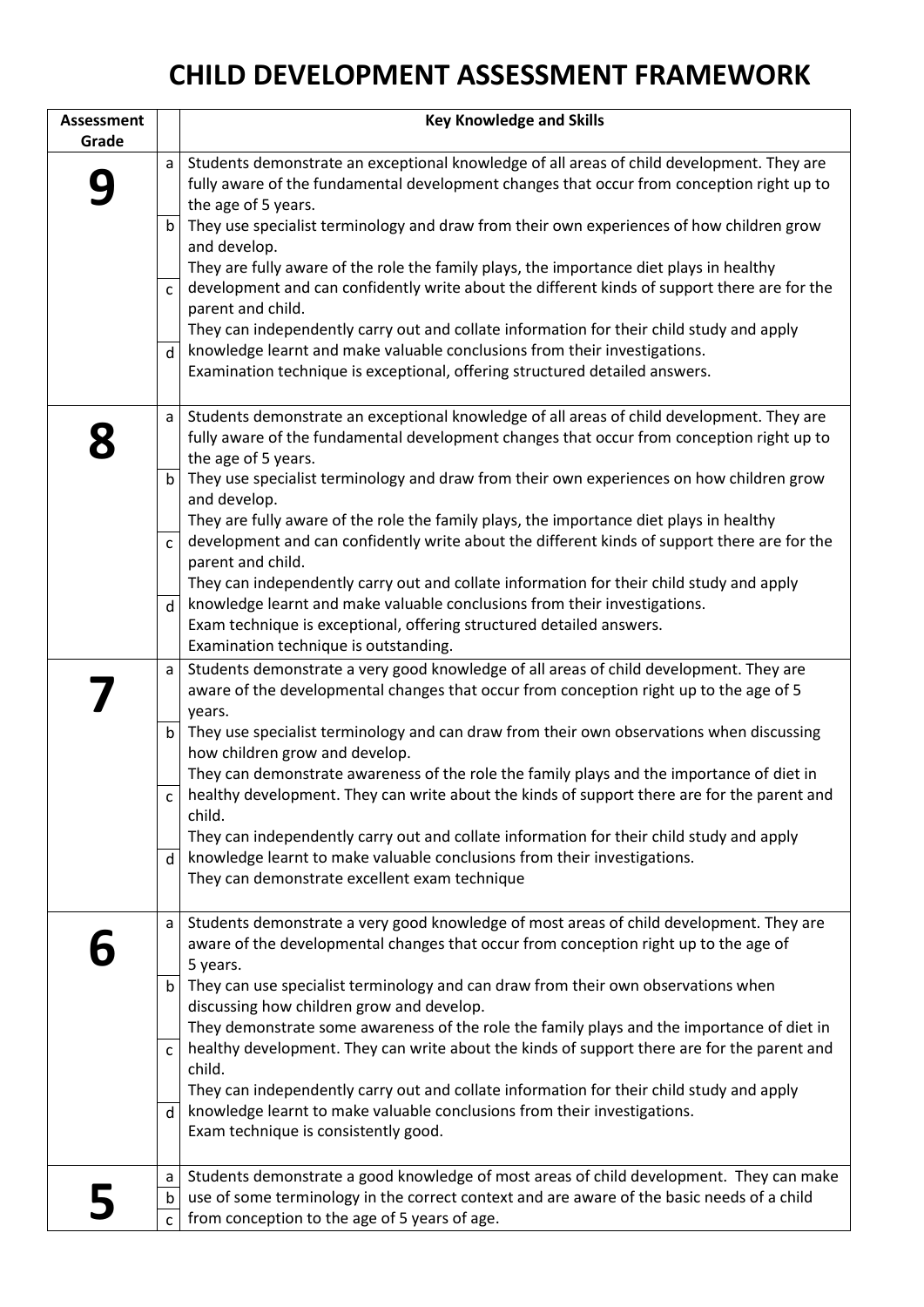## **CHILD DEVELOPMENT ASSESSMENT FRAMEWORK**

| <b>Assessment</b> |              | <b>Key Knowledge and Skills</b>                                                                                                                                                                                                                                                                          |
|-------------------|--------------|----------------------------------------------------------------------------------------------------------------------------------------------------------------------------------------------------------------------------------------------------------------------------------------------------------|
| Grade             |              |                                                                                                                                                                                                                                                                                                          |
|                   | a            | Students demonstrate an exceptional knowledge of all areas of child development. They are<br>fully aware of the fundamental development changes that occur from conception right up to<br>the age of 5 years.                                                                                            |
|                   | $\mathsf b$  | They use specialist terminology and draw from their own experiences of how children grow<br>and develop.                                                                                                                                                                                                 |
|                   | $\mathsf{C}$ | They are fully aware of the role the family plays, the importance diet plays in healthy<br>development and can confidently write about the different kinds of support there are for the<br>parent and child.                                                                                             |
|                   | d            | They can independently carry out and collate information for their child study and apply<br>knowledge learnt and make valuable conclusions from their investigations.                                                                                                                                    |
|                   |              | Examination technique is exceptional, offering structured detailed answers.                                                                                                                                                                                                                              |
|                   | a            | Students demonstrate an exceptional knowledge of all areas of child development. They are<br>fully aware of the fundamental development changes that occur from conception right up to<br>the age of 5 years.                                                                                            |
|                   | $\mathsf b$  | They use specialist terminology and draw from their own experiences on how children grow<br>and develop.                                                                                                                                                                                                 |
|                   | $\mathsf{C}$ | They are fully aware of the role the family plays, the importance diet plays in healthy<br>development and can confidently write about the different kinds of support there are for the<br>parent and child.<br>They can independently carry out and collate information for their child study and apply |
|                   | d            | knowledge learnt and make valuable conclusions from their investigations.                                                                                                                                                                                                                                |
|                   |              | Exam technique is exceptional, offering structured detailed answers.<br>Examination technique is outstanding.                                                                                                                                                                                            |
|                   | a            | Students demonstrate a very good knowledge of all areas of child development. They are<br>aware of the developmental changes that occur from conception right up to the age of 5<br>years.                                                                                                               |
|                   | b            | They use specialist terminology and can draw from their own observations when discussing<br>how children grow and develop.                                                                                                                                                                               |
|                   | $\mathsf{C}$ | They can demonstrate awareness of the role the family plays and the importance of diet in<br>healthy development. They can write about the kinds of support there are for the parent and<br>child.                                                                                                       |
|                   |              | They can independently carry out and collate information for their child study and apply                                                                                                                                                                                                                 |
|                   | d            | knowledge learnt to make valuable conclusions from their investigations.<br>They can demonstrate excellent exam technique                                                                                                                                                                                |
|                   | a            | Students demonstrate a very good knowledge of most areas of child development. They are<br>aware of the developmental changes that occur from conception right up to the age of<br>5 years.                                                                                                              |
|                   | $\mathsf b$  | They can use specialist terminology and can draw from their own observations when<br>discussing how children grow and develop.                                                                                                                                                                           |
|                   | C            | They demonstrate some awareness of the role the family plays and the importance of diet in<br>healthy development. They can write about the kinds of support there are for the parent and<br>child.                                                                                                      |
|                   | d            | They can independently carry out and collate information for their child study and apply<br>knowledge learnt to make valuable conclusions from their investigations.<br>Exam technique is consistently good.                                                                                             |
|                   | a            | Students demonstrate a good knowledge of most areas of child development. They can make                                                                                                                                                                                                                  |
|                   | b            | use of some terminology in the correct context and are aware of the basic needs of a child                                                                                                                                                                                                               |
|                   | $\mathsf{C}$ | from conception to the age of 5 years of age.                                                                                                                                                                                                                                                            |